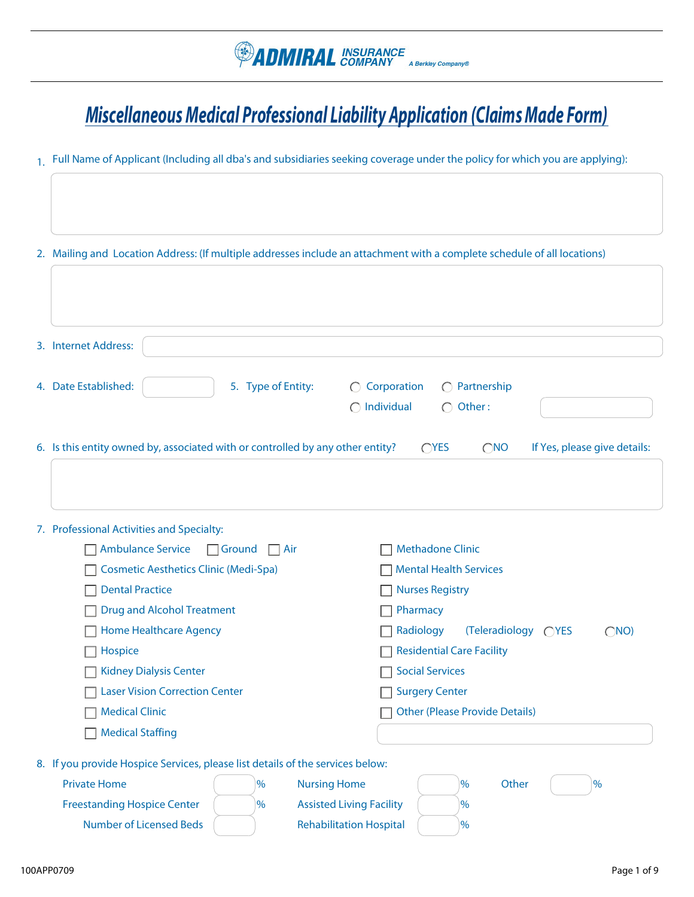# *Miscellaneous Medical Professional Liability Application (Claims Made Form)*

1. Full Name of Applicant (Including all dba's and subsidiaries seeking coverage under the policy for which you are applying):

| 2. Mailing and Location Address: (If multiple addresses include an attachment with a complete schedule of all locations) |                                                       |
|--------------------------------------------------------------------------------------------------------------------------|-------------------------------------------------------|
|                                                                                                                          |                                                       |
|                                                                                                                          |                                                       |
| 3. Internet Address:                                                                                                     |                                                       |
| 4. Date Established:<br>5. Type of Entity:                                                                               | $\bigcirc$ Corporation<br>$\bigcirc$ Partnership      |
|                                                                                                                          | $\bigcap$ Individual<br>$\bigcap$ Other:              |
| 6. Is this entity owned by, associated with or controlled by any other entity?                                           | OYES<br>$\bigcirc$ NO<br>If Yes, please give details: |
|                                                                                                                          |                                                       |
|                                                                                                                          |                                                       |
| 7. Professional Activities and Specialty:                                                                                |                                                       |
| Ambulance Service □ Ground □ Air                                                                                         | <b>Methadone Clinic</b>                               |
| <b>Cosmetic Aesthetics Clinic (Medi-Spa)</b>                                                                             | <b>Mental Health Services</b>                         |
| <b>Dental Practice</b>                                                                                                   | <b>Nurses Registry</b>                                |
| <b>Drug and Alcohol Treatment</b>                                                                                        | Pharmacy                                              |
| <b>Home Healthcare Agency</b>                                                                                            | Radiology<br>(Teleradiology ◯YES<br>(NO)              |
| Hospice                                                                                                                  | <b>Residential Care Facility</b>                      |
| <b>Kidney Dialysis Center</b>                                                                                            | <b>Social Services</b>                                |
| <b>Laser Vision Correction Center</b>                                                                                    | <b>Surgery Center</b>                                 |
| $\Box$ Medical Clinic                                                                                                    | Other (Please Provide Details)                        |
| <b>Medical Staffing</b>                                                                                                  |                                                       |
| 8. If you provide Hospice Services, please list details of the services below:                                           |                                                       |
| <b>Private Home</b><br>$\%$<br><b>Nursing Home</b>                                                                       | Other<br>%<br>$\%$                                    |
| <b>Freestanding Hospice Center</b><br>$\%$                                                                               | <b>Assisted Living Facility</b><br>$\%$               |
| <b>Number of Licensed Beds</b>                                                                                           | <b>Rehabilitation Hospital</b><br>$\%$                |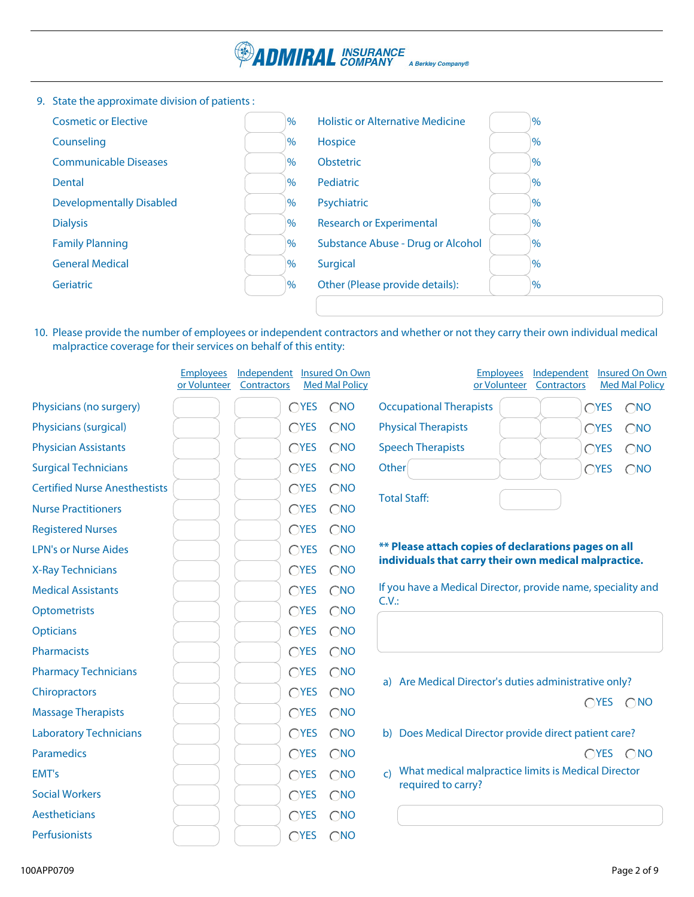

9. State the approximate division of patients :

| <b>Cosmetic or Elective</b>     | $\%$ | <b>Holistic or Alternative Medicine</b> | $\%$           |
|---------------------------------|------|-----------------------------------------|----------------|
| Counseling                      | $\%$ | Hospice                                 | $\%$           |
| <b>Communicable Diseases</b>    | $\%$ | <b>Obstetric</b>                        | $\%$           |
| Dental                          | $\%$ | Pediatric                               | $\%$           |
| <b>Developmentally Disabled</b> | $\%$ | Psychiatric                             | $\%$           |
| <b>Dialysis</b>                 | $\%$ | <b>Research or Experimental</b>         | $\frac{9}{6}$  |
| <b>Family Planning</b>          | $\%$ | Substance Abuse - Drug or Alcohol       | $\frac{10}{6}$ |
| <b>General Medical</b>          | $\%$ | <b>Surgical</b>                         | $\frac{9}{6}$  |
| Geriatric                       | $\%$ | Other (Please provide details):         | $\frac{9}{6}$  |
|                                 |      |                                         |                |

10. Please provide the number of employees or independent contractors and whether or not they carry their own individual medical malpractice coverage for their services on behalf of this entity:

|                                      | <b>Employees</b><br>or Volunteer | Independent<br>Contractors |               | Insured On Own<br><b>Med Mal Policy</b> |                                                                      | <b>Employees</b><br>or Volunteer | Independent<br>Contractors |               | Insured On Own<br><b>Med Mal Policy</b> |
|--------------------------------------|----------------------------------|----------------------------|---------------|-----------------------------------------|----------------------------------------------------------------------|----------------------------------|----------------------------|---------------|-----------------------------------------|
| Physicians (no surgery)              |                                  |                            | CYES          | $\bigcap$ NO                            | <b>Occupational Therapists</b>                                       |                                  |                            | $\bigcap$ YES | $\bigcirc$ NO                           |
| Physicians (surgical)                |                                  |                            | CYES          | $\bigcirc$ NO                           | <b>Physical Therapists</b>                                           |                                  |                            | $\bigcap$ YES | $\bigcirc$ NO                           |
| <b>Physician Assistants</b>          |                                  |                            | CYES          | $\bigcirc$ NO                           | <b>Speech Therapists</b>                                             |                                  |                            | $\bigcap$ YES | $\bigcirc$ NO                           |
| <b>Surgical Technicians</b>          |                                  |                            | CYES          | $\bigcirc$ NO                           | Other                                                                |                                  |                            | CYES          | $\bigcirc$ <sub>NO</sub>                |
| <b>Certified Nurse Anesthestists</b> |                                  |                            | CYES          | $\bigcirc$ NO                           | <b>Total Staff:</b>                                                  |                                  |                            |               |                                         |
| <b>Nurse Practitioners</b>           |                                  |                            | CYES          | $\bigcirc$ NO                           |                                                                      |                                  |                            |               |                                         |
| <b>Registered Nurses</b>             |                                  |                            | CYES          | $\bigcirc$ NO                           |                                                                      |                                  |                            |               |                                         |
| <b>LPN's or Nurse Aides</b>          |                                  |                            | CYES          | $\bigcirc$ NO                           | ** Please attach copies of declarations pages on all                 |                                  |                            |               |                                         |
| <b>X-Ray Technicians</b>             |                                  |                            | CYES          | $\bigcirc$ NO                           | individuals that carry their own medical malpractice.                |                                  |                            |               |                                         |
| <b>Medical Assistants</b>            |                                  |                            | CYES          | $\bigcirc$ NO                           | If you have a Medical Director, provide name, speciality and<br>C.V. |                                  |                            |               |                                         |
| Optometrists                         |                                  |                            | CYES          | $\bigcirc$ NO                           |                                                                      |                                  |                            |               |                                         |
| <b>Opticians</b>                     |                                  |                            | CYES          | $\bigcirc$ NO                           |                                                                      |                                  |                            |               |                                         |
| Pharmacists                          |                                  |                            | CYES          | $\bigcirc$ NO                           |                                                                      |                                  |                            |               |                                         |
| <b>Pharmacy Technicians</b>          |                                  |                            | CYES          | $\bigcirc$ NO                           | a) Are Medical Director's duties administrative only?                |                                  |                            |               |                                         |
| Chiropractors                        |                                  |                            | CYES          | $\bigcirc$ NO                           |                                                                      |                                  |                            |               | $OYES$ $ONO$                            |
| <b>Massage Therapists</b>            |                                  |                            | CYES          | $\bigcirc$ NO                           |                                                                      |                                  |                            |               |                                         |
| <b>Laboratory Technicians</b>        |                                  |                            | $\bigcap$ YES | $\bigcirc$ NO                           | b) Does Medical Director provide direct patient care?                |                                  |                            |               |                                         |
| <b>Paramedics</b>                    |                                  |                            | CYES          | $\bigcirc$ NO                           |                                                                      |                                  |                            |               | $OYES$ $ONO$                            |
| EMT's                                |                                  |                            | CYES          | $\bigcirc$ NO                           | What medical malpractice limits is Medical Director<br>$\mathsf{C}$  |                                  |                            |               |                                         |
| <b>Social Workers</b>                |                                  |                            | CYES          | $\bigcirc$ NO                           | required to carry?                                                   |                                  |                            |               |                                         |
| Aestheticians                        |                                  |                            | CYES          | $\bigcirc$ NO                           |                                                                      |                                  |                            |               |                                         |
| Perfusionists                        |                                  |                            | CYES          | $\bigcirc$ <sub>NO</sub>                |                                                                      |                                  |                            |               |                                         |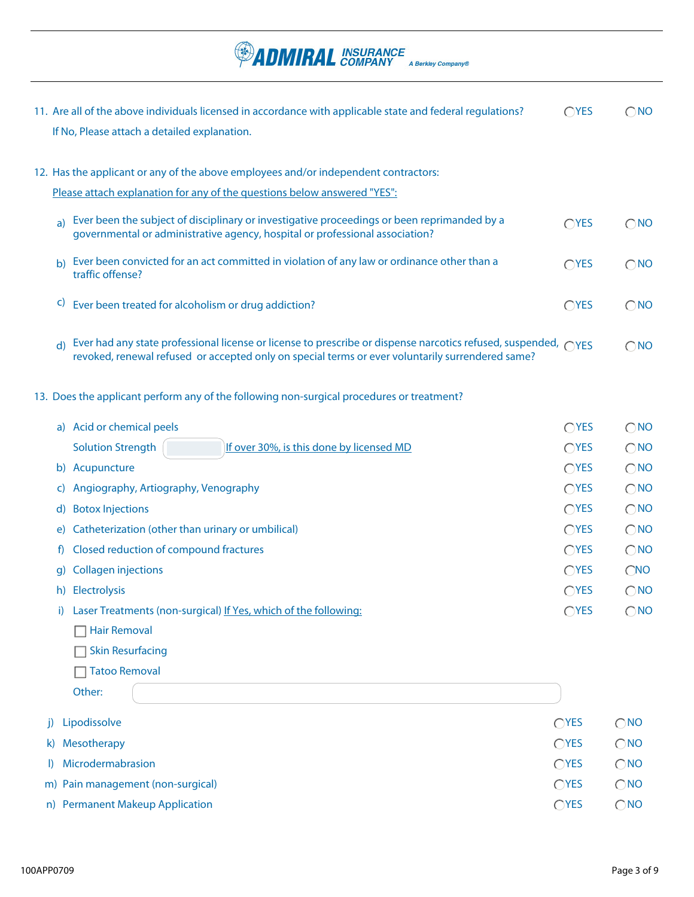If No, Please attach a detailed explanation. Please attach explanation for any of the questions below answered "YES": 12. Has the applicant or any of the above employees and/or independent contractors: <sub>a</sub>) Ever been the subject of disciplinary or investigative proceedings or been reprimanded by a  $\bigcirc$ YES  $\bigcirc$ NO governmental or administrative agency, hospital or professional association? b) Ever been convicted for an act committed in violation of any law or ordinance other than a  $\bigcirc$  YES  $\bigcirc$  NO traffic offense? d) Ever had any state professional license or license to prescribe or dispense narcotics refused, suspended,  $\bigcirc$ YES  $\bigcirc$ NO revoked, renewal refused or accepted only on special terms or ever voluntarily surrendered same?  $\overline{c}$  Ever been treated for alcoholism or drug addiction?  $\overline{c}$  and  $\overline{c}$  and  $\overline{c}$  and  $\overline{c}$  and  $\overline{c}$  and  $\overline{c}$  and  $\overline{c}$  and  $\overline{c}$  and  $\overline{c}$  and  $\overline{c}$  and  $\overline{c}$  and  $\overline{c}$  and  $\overline$ 13. Does the applicant perform any of the following non-surgical procedures or treatment? a) Acid or chemical peels  $\bigcirc$  YES  $\bigcirc$  NO  $OYES$   $ONO$ Solution Strength  $\left| \frac{160}{160}\right|$  over 30%, is this done by licensed MD

11. Are all of the above individuals licensed in accordance with applicable state and federal regulations?  $\bigcirc$  YES  $\bigcirc$  NO

A Berkley Company®

**ADMIRAL** INSURANCE

|    | b) Acupuncture                                                  | $\bigcap$ YES | $\bigcirc$ NO |
|----|-----------------------------------------------------------------|---------------|---------------|
|    | c) Angiography, Artiography, Venography                         | OYES          | $\bigcirc$ NO |
| d) | <b>Botox Injections</b>                                         | $\bigcap$ YES | $\bigcirc$ NO |
|    | e) Catheterization (other than urinary or umbilical)            | OYES          | $\bigcirc$ NO |
|    | f) Closed reduction of compound fractures                       | $\bigcap$ YES | $\bigcirc$ NO |
|    | g) Collagen injections                                          | $\bigcap$ YES | CNO           |
|    | h) Electrolysis                                                 | OYES          | $\bigcirc$ NO |
|    | Laser Treatments (non-surgical) If Yes, which of the following: | $\bigcap$ YES | $\bigcirc$ NO |
|    |                                                                 |               |               |

**□ Hair Removal** Skin Resurfacing

□ Tatoo Removal

Other:

j) Lipodissolve m) Pain management (non-surgical) l) Microdermabrasion  $\bigcirc$  YES  $\bigcirc$  NO n) Permanent Makeup Application National Research of the Contract of the Contract of the Contract of the Contract of Contract of the Contract of the Contract of the Contract of the Contract of the Contract of the Contract  $OYES$   $ONO$  $OYES$   $ONO$ k) Mesotherapy  $\bigcirc$  Mosotherapy  $\bigcirc$  Mosotherapy  $\bigcirc$  Mosotherapy  $\bigcirc$  Mosotherapy  $\bigcirc$  Mosotherapy  $\bigcirc$  Mosotherapy  $\bigcirc$  Mosotherapy  $\bigcirc$  Mosotherapy  $\bigcirc$  Mosotherapy  $\bigcirc$  Mosotherapy  $\bigcirc$  Mosotherapy  $\bigcirc$  Mo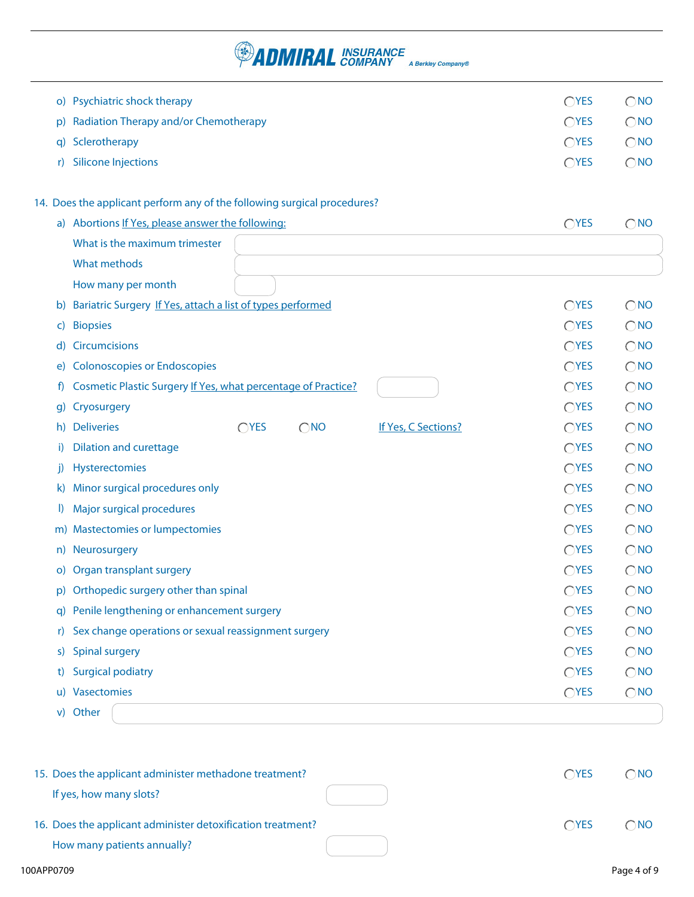# **PADMIRAL** INSURANCE A Berkley Company®

| O(      | Psychiatric shock therapy                                                | OYES           | $\bigcirc$ NO |
|---------|--------------------------------------------------------------------------|----------------|---------------|
| p)      | Radiation Therapy and/or Chemotherapy                                    | CYES           | $\bigcirc$ NO |
| q)      | Sclerotherapy                                                            | CYES           | $\bigcirc$ NO |
| r)      | <b>Silicone Injections</b>                                               | CYES           | $\bigcirc$ NO |
|         |                                                                          |                |               |
|         | 14. Does the applicant perform any of the following surgical procedures? |                |               |
|         | a) Abortions If Yes, please answer the following:                        | CYES           | $\bigcirc$ NO |
|         | What is the maximum trimester                                            |                |               |
|         | What methods                                                             |                |               |
|         | How many per month                                                       |                |               |
| b)      | Bariatric Surgery If Yes, attach a list of types performed               | OYES           | $\bigcirc$ NO |
| C)      | <b>Biopsies</b>                                                          | OYES           | $\bigcirc$ NO |
| d)      | <b>Circumcisions</b>                                                     | CYES           | $\bigcirc$ NO |
| e)      | <b>Colonoscopies or Endoscopies</b>                                      | CYES           | $\bigcirc$ NO |
| f)      | Cosmetic Plastic Surgery If Yes, what percentage of Practice?            | OYES           | $\bigcirc$ NO |
| g)      | Cryosurgery                                                              | OYES           | $\bigcirc$ NO |
| h)      | CYES<br><b>Deliveries</b><br>$\bigcirc$ NO<br>If Yes, C Sections?        | OYES           | $\bigcirc$ NO |
| i)      | <b>Dilation and curettage</b>                                            | OYES           | $\bigcirc$ NO |
| j)      | Hysterectomies                                                           | CYES           | $\bigcirc$ NO |
| K)      | Minor surgical procedures only                                           | CYES           | $\bigcirc$ NO |
| $\vert$ | Major surgical procedures                                                | OYES           | $\bigcirc$ NO |
|         | m) Mastectomies or lumpectomies                                          | CYES           | $\bigcirc$ NO |
| n)      | Neurosurgery                                                             | OYES           | $\bigcirc$ NO |
| O)      | Organ transplant surgery                                                 | OYES           | $\bigcirc$ NO |
|         | p) Orthopedic surgery other than spinal                                  | $\bigcirc$ YES | $\bigcirc$ NO |
|         | q) Penile lengthening or enhancement surgery                             | CYES           | $\bigcirc$ NO |
| r)      | Sex change operations or sexual reassignment surgery                     | CYES           | $\bigcirc$ NO |
| S)      | <b>Spinal surgery</b>                                                    | CYES           | $\bigcirc$ NO |
| t)      | <b>Surgical podiatry</b>                                                 | CYES           | $\bigcirc$ NO |
| u)      | Vasectomies                                                              | CYES           | $\bigcirc$ NO |
| V)      | Other                                                                    |                |               |

| 15. Does the applicant administer methadone treatment?      | $\bigcap$ YES | $\neg$ NO    |
|-------------------------------------------------------------|---------------|--------------|
| If yes, how many slots?                                     |               |              |
| 16. Does the applicant administer detoxification treatment? | <b>OYES</b>   | $\bigcap$ NO |
| How many patients annually?                                 |               |              |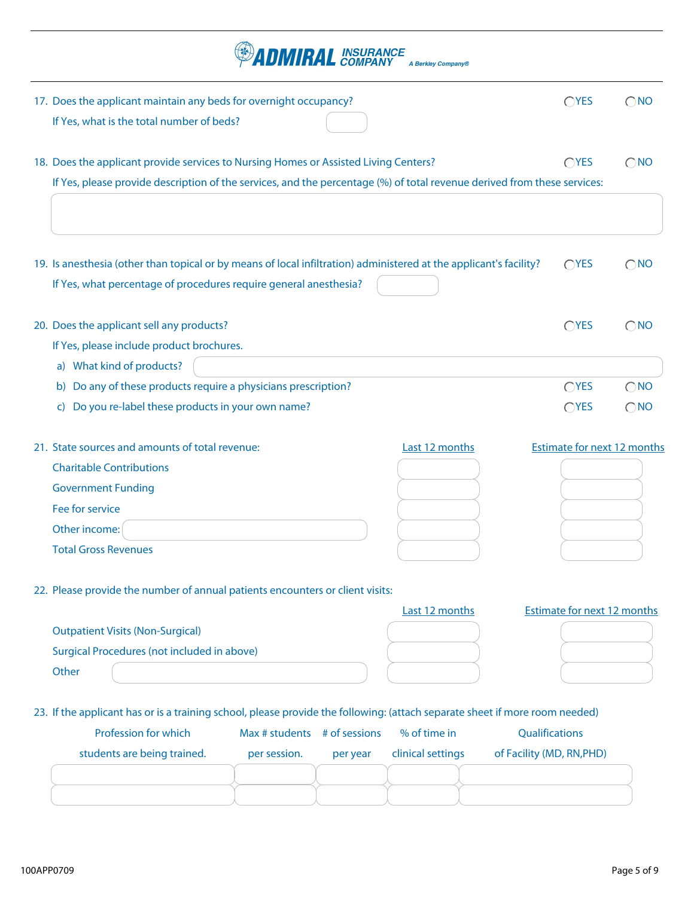|                                                                                                                                                                                                                  |                              | <b>ADMIRAL INSURANCE</b> | A Berkley Company® |                                    |               |
|------------------------------------------------------------------------------------------------------------------------------------------------------------------------------------------------------------------|------------------------------|--------------------------|--------------------|------------------------------------|---------------|
| 17. Does the applicant maintain any beds for overnight occupancy?<br>If Yes, what is the total number of beds?                                                                                                   |                              |                          |                    | OYES                               | $\bigcirc$ NO |
| 18. Does the applicant provide services to Nursing Homes or Assisted Living Centers?<br>If Yes, please provide description of the services, and the percentage (%) of total revenue derived from these services: |                              |                          |                    | OYES                               | $\bigcirc$ NO |
| 19. Is anesthesia (other than topical or by means of local infiltration) administered at the applicant's facility?<br>If Yes, what percentage of procedures require general anesthesia?                          |                              |                          |                    | OYES                               | $\bigcirc$ NO |
| 20. Does the applicant sell any products?<br>If Yes, please include product brochures.                                                                                                                           |                              |                          |                    | CYES                               | $\bigcirc$ NO |
| a) What kind of products?                                                                                                                                                                                        |                              |                          |                    |                                    |               |
| b) Do any of these products require a physicians prescription?                                                                                                                                                   |                              |                          |                    | OYES                               | $\bigcirc$ NO |
| Do you re-label these products in your own name?<br>C)                                                                                                                                                           |                              |                          |                    | CYES                               | $\bigcirc$ NO |
| 21. State sources and amounts of total revenue:                                                                                                                                                                  |                              |                          | Last 12 months     | <b>Estimate for next 12 months</b> |               |
| <b>Charitable Contributions</b>                                                                                                                                                                                  |                              |                          |                    |                                    |               |
| <b>Government Funding</b>                                                                                                                                                                                        |                              |                          |                    |                                    |               |
| Fee for service                                                                                                                                                                                                  |                              |                          |                    |                                    |               |
| Other income:                                                                                                                                                                                                    |                              |                          |                    |                                    |               |
| <b>Total Gross Revenues</b>                                                                                                                                                                                      |                              |                          |                    |                                    |               |
| 22. Please provide the number of annual patients encounters or client visits:                                                                                                                                    |                              |                          |                    |                                    |               |
|                                                                                                                                                                                                                  |                              |                          | Last 12 months     | <b>Estimate for next 12 months</b> |               |
| <b>Outpatient Visits (Non-Surgical)</b>                                                                                                                                                                          |                              |                          |                    |                                    |               |
| <b>Surgical Procedures (not included in above)</b>                                                                                                                                                               |                              |                          |                    |                                    |               |
| Other                                                                                                                                                                                                            |                              |                          |                    |                                    |               |
| 23. If the applicant has or is a training school, please provide the following: (attach separate sheet if more room needed)                                                                                      |                              |                          |                    |                                    |               |
| Profession for which                                                                                                                                                                                             | Max # students # of sessions |                          | % of time in       | Qualifications                     |               |
| students are being trained.                                                                                                                                                                                      | per session.                 | per year                 | clinical settings  | of Facility (MD, RN, PHD)          |               |
|                                                                                                                                                                                                                  |                              |                          |                    |                                    |               |
|                                                                                                                                                                                                                  |                              |                          |                    |                                    |               |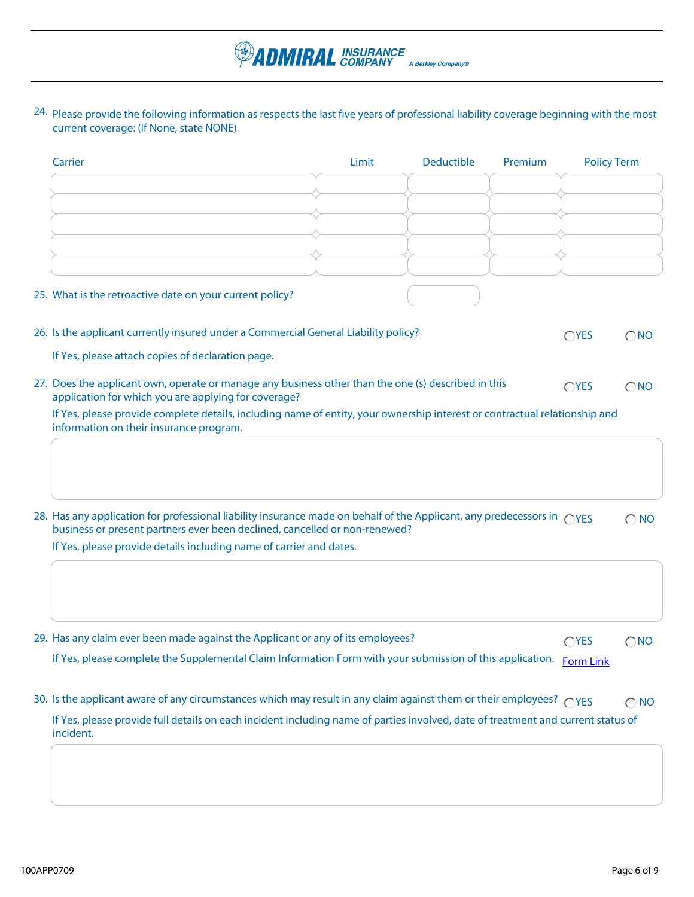24. Please provide the following information as respects the last five years of professional liability coverage beginning with the most current coverage: (If None, state NONE)

**PADMIRAL** INSURANCE A Berkley Company®

| Carrier                                                                                                                                                                                                        | Limit | <b>Deductible</b> | Premium | <b>Policy Term</b> |               |
|----------------------------------------------------------------------------------------------------------------------------------------------------------------------------------------------------------------|-------|-------------------|---------|--------------------|---------------|
|                                                                                                                                                                                                                |       |                   |         |                    |               |
|                                                                                                                                                                                                                |       |                   |         |                    |               |
|                                                                                                                                                                                                                |       |                   |         |                    |               |
|                                                                                                                                                                                                                |       |                   |         |                    |               |
| 25. What is the retroactive date on your current policy?                                                                                                                                                       |       |                   |         |                    |               |
| 26. Is the applicant currently insured under a Commercial General Liability policy?                                                                                                                            |       |                   |         | OYES               | $\bigcirc$ NO |
| If Yes, please attach copies of declaration page.                                                                                                                                                              |       |                   |         |                    |               |
| 27. Does the applicant own, operate or manage any business other than the one (s) described in this<br>application for which you are applying for coverage?                                                    |       |                   |         | $\bigcirc$ YES     | $\bigcirc$ NO |
| If Yes, please provide complete details, including name of entity, your ownership interest or contractual relationship and<br>information on their insurance program.                                          |       |                   |         |                    |               |
|                                                                                                                                                                                                                |       |                   |         |                    |               |
|                                                                                                                                                                                                                |       |                   |         |                    |               |
| 28. Has any application for professional liability insurance made on behalf of the Applicant, any predecessors in $\bigcirc$ YES<br>business or present partners ever been declined, cancelled or non-renewed? |       |                   |         |                    | $\bigcirc$ NO |
| If Yes, please provide details including name of carrier and dates.                                                                                                                                            |       |                   |         |                    |               |
|                                                                                                                                                                                                                |       |                   |         |                    |               |
|                                                                                                                                                                                                                |       |                   |         |                    |               |
| 29. Has any claim ever been made against the Applicant or any of its employees?                                                                                                                                |       |                   |         | $\bigcirc$ YES     | $\bigcirc$ NO |
| If Yes, please complete the Supplemental Claim Information Form with your submission of this application. Form Link                                                                                            |       |                   |         |                    |               |
| 30. Is the applicant aware of any circumstances which may result in any claim against them or their employees? $\bigcirc$ YES                                                                                  |       |                   |         |                    | $\bigcirc$ NO |
| If Yes, please provide full details on each incident including name of parties involved, date of treatment and current status of<br>incident.                                                                  |       |                   |         |                    |               |
|                                                                                                                                                                                                                |       |                   |         |                    |               |
|                                                                                                                                                                                                                |       |                   |         |                    |               |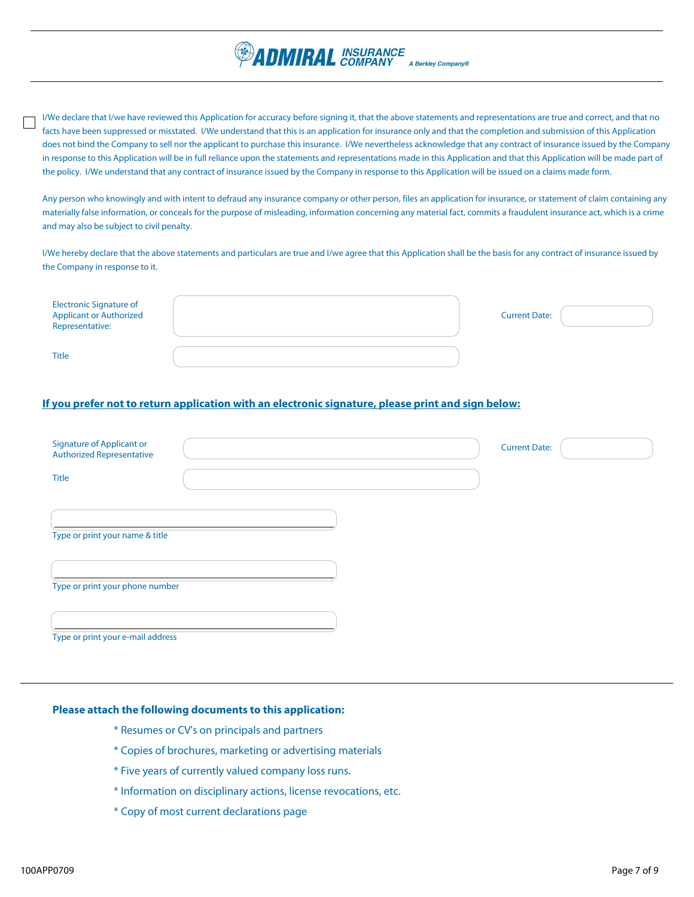

I/We declare that I/we have reviewed this Application for accuracy before signing it, that the above statements and representations are true and correct, and that no facts have been suppressed or misstated. I/We understand that this is an application for insurance only and that the completion and submission of this Application does not bind the Company to sell nor the applicant to purchase this insurance. I/We nevertheless acknowledge that any contract of insurance issued by the Company in response to this Application will be in full reliance upon the statements and representations made in this Application and that this Application will be made part of the policy. I/We understand that any contract of insurance issued by the Company in response to this Application will be issued on a claims made form.

Any person who knowingly and with intent to defraud any insurance company or other person, files an application for insurance, or statement of claim containing any materially false information, or conceals for the purpose of misleading, information concerning any material fact, commits a fraudulent insurance act, which is a crime and may also be subject to civil penalty.

I/We hereby declare that the above statements and particulars are true and I/we agree that this Application shall be the basis for any contract of insurance issued by the Company in response to it.

| Electronic Signature of<br>Applicant or Authorized<br>Representative: | <b>Current Date:</b> |  |
|-----------------------------------------------------------------------|----------------------|--|
| <b>Title</b>                                                          |                      |  |

## **If you prefer not to return application with an electronic signature, please print and sign below:**

| <b>Signature of Applicant or</b><br><b>Authorized Representative</b> |  | <b>Current Date:</b> |  |
|----------------------------------------------------------------------|--|----------------------|--|
| Title                                                                |  |                      |  |
| Type or print your name & title                                      |  |                      |  |
| Type or print your phone number                                      |  |                      |  |
| Type or print your e-mail address                                    |  |                      |  |

#### **Please attach the following documents to this application:**

- \* Resumes or CV's on principals and partners
- \* Copies of brochures, marketing or advertising materials
- \* Five years of currently valued company loss runs.
- \* Information on disciplinary actions, license revocations, etc.
- \* Copy of most current declarations page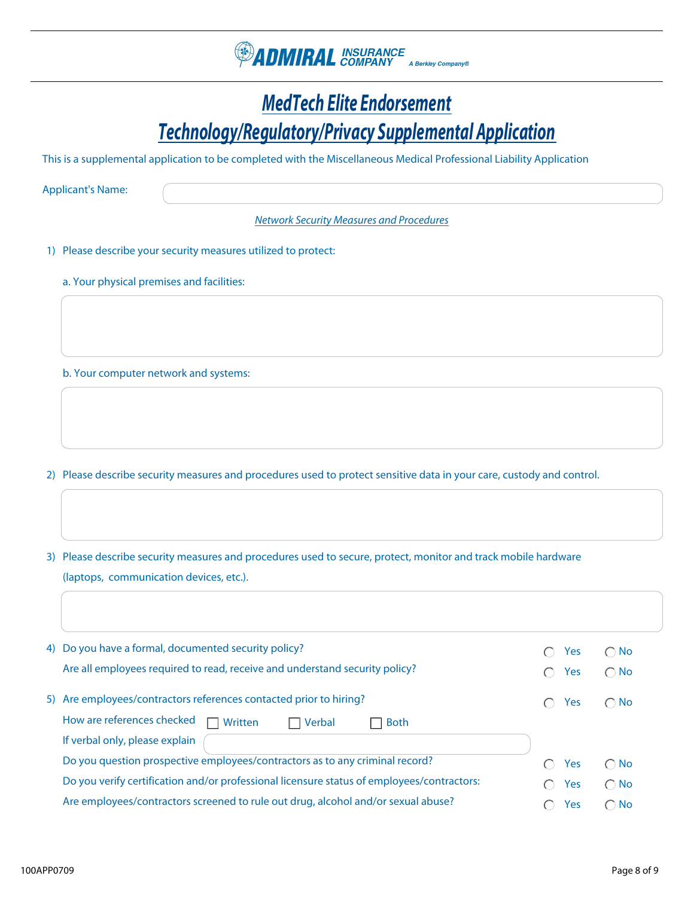

# *MedTech Elite Endorsement Technology/Regulatory/Privacy Supplemental Application*

This is a supplemental application to be completed with the Miscellaneous Medical Professional Liability Application

Applicant's Name:

*Network Security Measures and Procedures*

1) Please describe your security measures utilized to protect:

a. Your physical premises and facilities:

b. Your computer network and systems:

2) Please describe security measures and procedures used to protect sensitive data in your care, custody and control.

3) Please describe security measures and procedures used to secure, protect, monitor and track mobile hardware (laptops, communication devices, etc.).

| 4) Do you have a formal, documented security policy?                                       | <b>Yes</b> | $\bigcap$ No  |
|--------------------------------------------------------------------------------------------|------------|---------------|
| Are all employees required to read, receive and understand security policy?                | Yes        | $\bigcirc$ No |
| 5) Are employees/contractors references contacted prior to hiring?                         | Yes        | $\bigcap$ No  |
| How are references checked<br>Written<br>Verbal<br><b>Both</b>                             |            |               |
| If verbal only, please explain                                                             |            |               |
| Do you question prospective employees/contractors as to any criminal record?               | Yes        | $\bigcap$ No  |
| Do you verify certification and/or professional licensure status of employees/contractors: | Yes        | $\bigcirc$ No |
| Are employees/contractors screened to rule out drug, alcohol and/or sexual abuse?          | Yes        | $\bigcap$ No  |